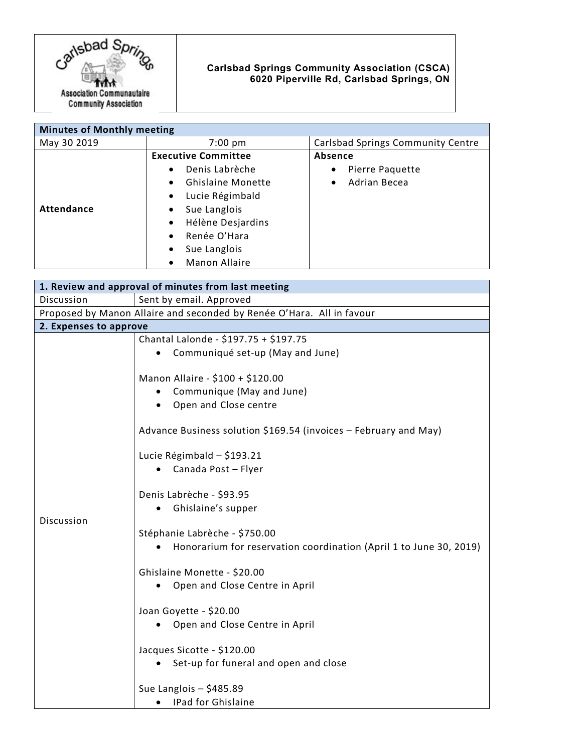

## **Carlsbad Springs Community Association (CSCA) 6020 Piperville Rd, Carlsbad Springs, ON**

| <b>Minutes of Monthly meeting</b> |                                       |                                   |
|-----------------------------------|---------------------------------------|-----------------------------------|
| May 30 2019                       | $7:00 \text{ pm}$                     | Carlsbad Springs Community Centre |
|                                   | <b>Executive Committee</b>            | Absence                           |
|                                   | Denis Labrèche<br>$\bullet$           | Pierre Paquette<br>$\bullet$      |
|                                   | <b>Ghislaine Monette</b><br>$\bullet$ | Adrian Becea<br>$\bullet$         |
|                                   | Lucie Régimbald<br>$\bullet$          |                                   |
| <b>Attendance</b>                 | Sue Langlois<br>$\bullet$             |                                   |
|                                   | Hélène Desjardins<br>$\bullet$        |                                   |
|                                   | Renée O'Hara<br>$\bullet$             |                                   |
|                                   | Sue Langlois<br>٠                     |                                   |
|                                   | Manon Allaire<br>$\bullet$            |                                   |